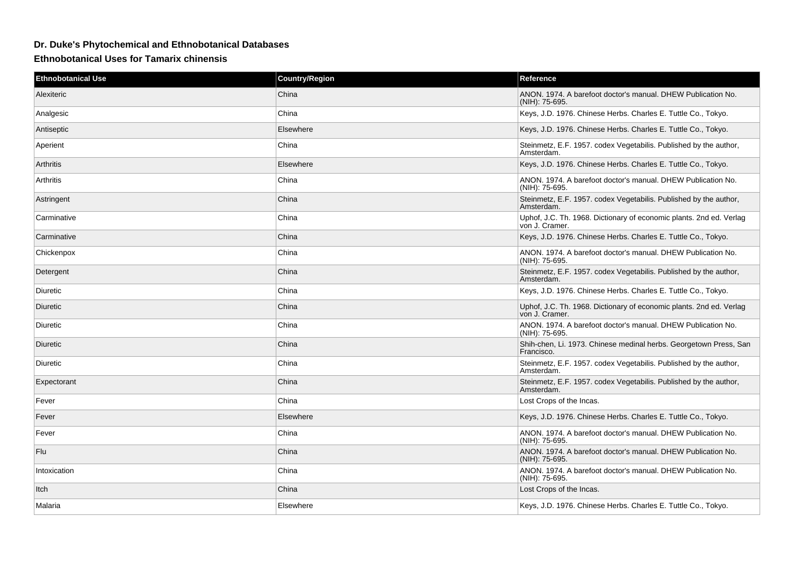## **Dr. Duke's Phytochemical and Ethnobotanical Databases**

**Ethnobotanical Uses for Tamarix chinensis**

| <b>Ethnobotanical Use</b> | <b>Country/Region</b> | <b>Reference</b>                                                                      |
|---------------------------|-----------------------|---------------------------------------------------------------------------------------|
| Alexiteric                | China                 | ANON. 1974. A barefoot doctor's manual. DHEW Publication No.<br>(NIH): 75-695.        |
| Analgesic                 | China                 | Keys, J.D. 1976. Chinese Herbs. Charles E. Tuttle Co., Tokyo.                         |
| Antiseptic                | Elsewhere             | Keys, J.D. 1976. Chinese Herbs. Charles E. Tuttle Co., Tokyo.                         |
| Aperient                  | China                 | Steinmetz, E.F. 1957. codex Vegetabilis. Published by the author,<br>Amsterdam.       |
| Arthritis                 | Elsewhere             | Keys, J.D. 1976. Chinese Herbs. Charles E. Tuttle Co., Tokyo.                         |
| Arthritis                 | China                 | ANON. 1974. A barefoot doctor's manual. DHEW Publication No.<br>(NIH): 75-695.        |
| Astringent                | China                 | Steinmetz, E.F. 1957. codex Vegetabilis. Published by the author,<br>Amsterdam.       |
| Carminative               | China                 | Uphof, J.C. Th. 1968. Dictionary of economic plants. 2nd ed. Verlag<br>von J. Cramer. |
| Carminative               | China                 | Keys, J.D. 1976. Chinese Herbs. Charles E. Tuttle Co., Tokyo.                         |
| Chickenpox                | China                 | ANON. 1974. A barefoot doctor's manual. DHEW Publication No.<br>(NIH): 75-695.        |
| Detergent                 | China                 | Steinmetz, E.F. 1957. codex Vegetabilis. Published by the author,<br>Amsterdam.       |
| Diuretic                  | China                 | Keys, J.D. 1976. Chinese Herbs. Charles E. Tuttle Co., Tokyo.                         |
| Diuretic                  | China                 | Uphof, J.C. Th. 1968. Dictionary of economic plants. 2nd ed. Verlag<br>von J. Cramer. |
| Diuretic                  | China                 | ANON. 1974. A barefoot doctor's manual. DHEW Publication No.<br>(NIH): 75-695.        |
| Diuretic                  | China                 | Shih-chen, Li. 1973. Chinese medinal herbs. Georgetown Press, San<br>Francisco.       |
| <b>Diuretic</b>           | China                 | Steinmetz, E.F. 1957. codex Vegetabilis. Published by the author,<br>Amsterdam.       |
| Expectorant               | China                 | Steinmetz, E.F. 1957. codex Vegetabilis. Published by the author,<br>Amsterdam.       |
| Fever                     | China                 | Lost Crops of the Incas.                                                              |
| Fever                     | Elsewhere             | Keys, J.D. 1976. Chinese Herbs. Charles E. Tuttle Co., Tokyo.                         |
| Fever                     | China                 | ANON. 1974. A barefoot doctor's manual. DHEW Publication No.<br>(NIH): 75-695.        |
| Flu                       | China                 | ANON. 1974. A barefoot doctor's manual. DHEW Publication No.<br>(NIH): 75-695.        |
| Intoxication              | China                 | ANON, 1974. A barefoot doctor's manual. DHEW Publication No.<br>(NIH): 75-695.        |
| Itch                      | China                 | Lost Crops of the Incas.                                                              |
| Malaria                   | Elsewhere             | Keys, J.D. 1976. Chinese Herbs. Charles E. Tuttle Co., Tokyo.                         |